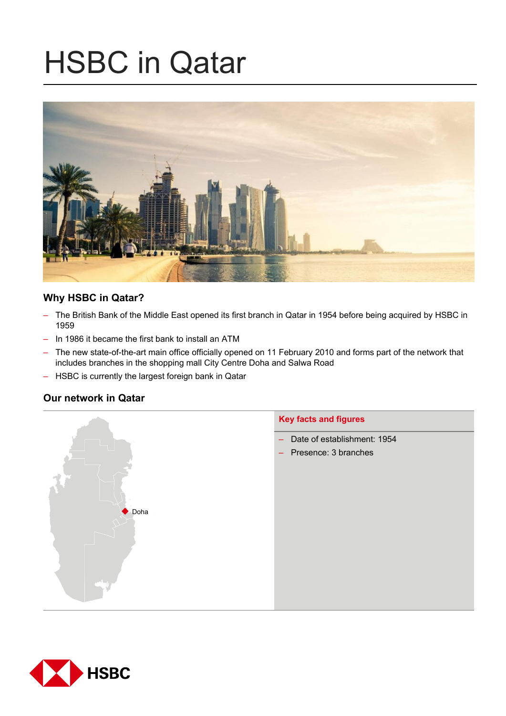# HSBC in Qatar



# **Why HSBC in Qatar?**

- The British Bank of the Middle East opened its first branch in Qatar in 1954 before being acquired by HSBC in 1959
- In 1986 it became the first bank to install an ATM
- The new state-of-the-art main office officially opened on 11 February 2010 and forms part of the network that includes branches in the shopping mall City Centre Doha and Salwa Road
- HSBC is currently the largest foreign bank in Qatar

# **Our network in Qatar**